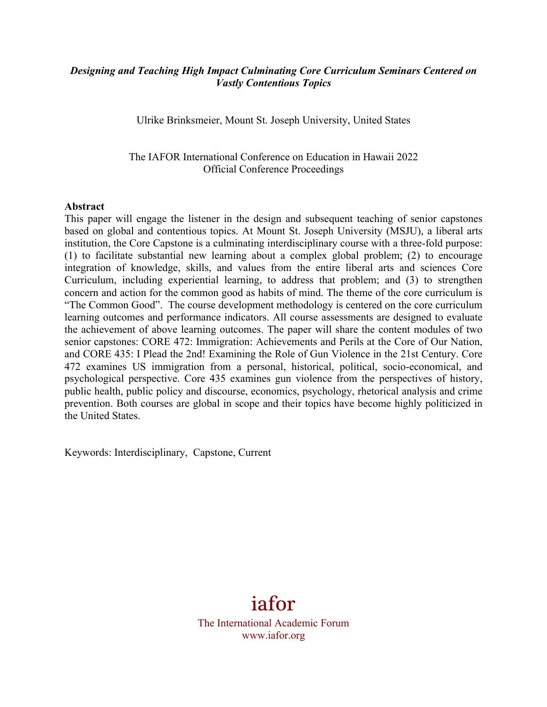## *Designing and Teaching High Impact Culminating Core Curriculum Seminars Centered on Vastly Contentious Topics*

Ulrike Brinksmeier, Mount St. Joseph University, United States

The IAFOR International Conference on Education in Hawaii 2022 Official Conference Proceedings

### **Abstract**

This paper will engage the listener in the design and subsequent teaching of senior capstones based on global and contentious topics. At Mount St. Joseph University (MSJU), a liberal arts institution, the Core Capstone is a culminating interdisciplinary course with a three-fold purpose: (1) to facilitate substantial new learning about a complex global problem; (2) to encourage integration of knowledge, skills, and values from the entire liberal arts and sciences Core Curriculum, including experiential learning, to address that problem; and (3) to strengthen concern and action for the common good as habits of mind. The theme of the core curriculum is "The Common Good". The course development methodology is centered on the core curriculum learning outcomes and performance indicators. All course assessments are designed to evaluate the achievement of above learning outcomes. The paper will share the content modules of two senior capstones: CORE 472: Immigration: Achievements and Perils at the Core of Our Nation, and CORE 435: I Plead the 2nd! Examining the Role of Gun Violence in the 21st Century. Core 472 examines US immigration from a personal, historical, political, socio-economical, and psychological perspective. Core 435 examines gun violence from the perspectives of history, public health, public policy and discourse, economics, psychology, rhetorical analysis and crime prevention. Both courses are global in scope and their topics have become highly politicized in the United States.

Keywords: Interdisciplinary, Capstone, Current

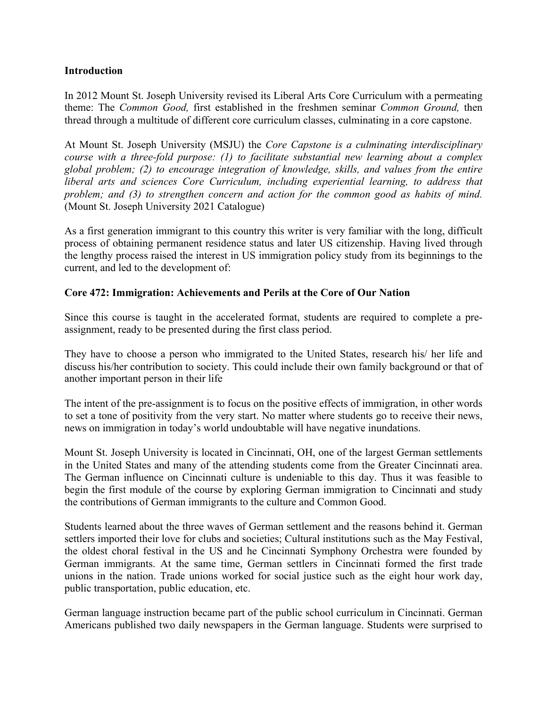## **Introduction**

In 2012 Mount St. Joseph University revised its Liberal Arts Core Curriculum with a permeating theme: The *Common Good,* first established in the freshmen seminar *Common Ground,* then thread through a multitude of different core curriculum classes, culminating in a core capstone.

At Mount St. Joseph University (MSJU) the *Core Capstone is a culminating interdisciplinary course with a three-fold purpose: (1) to facilitate substantial new learning about a complex global problem; (2) to encourage integration of knowledge, skills, and values from the entire liberal arts and sciences Core Curriculum, including experiential learning, to address that problem; and (3) to strengthen concern and action for the common good as habits of mind.* (Mount St. Joseph University 2021 Catalogue)

As a first generation immigrant to this country this writer is very familiar with the long, difficult process of obtaining permanent residence status and later US citizenship. Having lived through the lengthy process raised the interest in US immigration policy study from its beginnings to the current, and led to the development of:

## **Core 472: Immigration: Achievements and Perils at the Core of Our Nation**

Since this course is taught in the accelerated format, students are required to complete a preassignment, ready to be presented during the first class period.

They have to choose a person who immigrated to the United States, research his/ her life and discuss his/her contribution to society. This could include their own family background or that of another important person in their life

The intent of the pre-assignment is to focus on the positive effects of immigration, in other words to set a tone of positivity from the very start. No matter where students go to receive their news, news on immigration in today's world undoubtable will have negative inundations.

Mount St. Joseph University is located in Cincinnati, OH, one of the largest German settlements in the United States and many of the attending students come from the Greater Cincinnati area. The German influence on Cincinnati culture is undeniable to this day. Thus it was feasible to begin the first module of the course by exploring German immigration to Cincinnati and study the contributions of German immigrants to the culture and Common Good.

Students learned about the three waves of German settlement and the reasons behind it. German settlers imported their love for clubs and societies; Cultural institutions such as the May Festival, the oldest choral festival in the US and he Cincinnati Symphony Orchestra were founded by German immigrants. At the same time, German settlers in Cincinnati formed the first trade unions in the nation. Trade unions worked for social justice such as the eight hour work day, public transportation, public education, etc.

German language instruction became part of the public school curriculum in Cincinnati. German Americans published two daily newspapers in the German language. Students were surprised to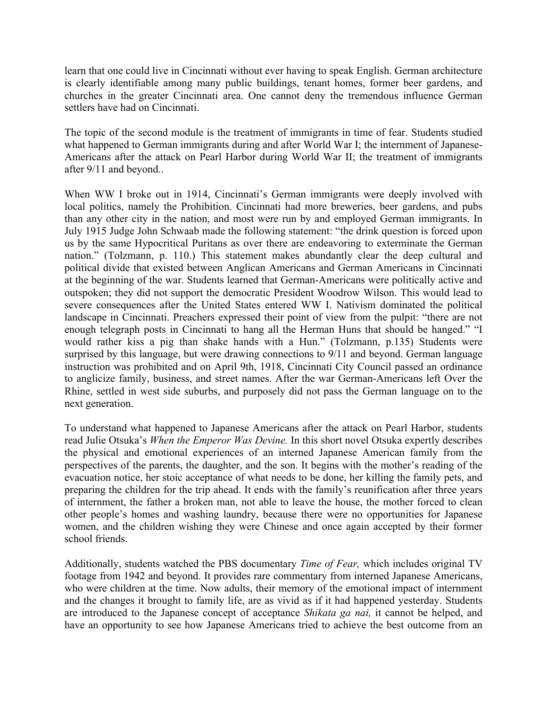learn that one could live in Cincinnati without ever having to speak English. German architecture is clearly identifiable among many public buildings, tenant homes, former beer gardens, and churches in the greater Cincinnati area. One cannot deny the tremendous influence German settlers have had on Cincinnati.

The topic of the second module is the treatment of immigrants in time of fear. Students studied what happened to German immigrants during and after World War I; the internment of Japanese-Americans after the attack on Pearl Harbor during World War II; the treatment of immigrants after 9/11 and beyond..

When WW I broke out in 1914, Cincinnati's German immigrants were deeply involved with local politics, namely the Prohibition. Cincinnati had more breweries, beer gardens, and pubs than any other city in the nation, and most were run by and employed German immigrants. In July 1915 Judge John Schwaab made the following statement: "the drink question is forced upon us by the same Hypocritical Puritans as over there are endeavoring to exterminate the German nation." (Tolzmann, p. 110.) This statement makes abundantly clear the deep cultural and political divide that existed between Anglican Americans and German Americans in Cincinnati at the beginning of the war. Students learned that German-Americans were politically active and outspoken; they did not support the democratic President Woodrow Wilson. This would lead to severe consequences after the United States entered WW I. Nativism dominated the political landscape in Cincinnati. Preachers expressed their point of view from the pulpit: "there are not enough telegraph posts in Cincinnati to hang all the Herman Huns that should be hanged." "I would rather kiss a pig than shake hands with a Hun." (Tolzmann, p.135) Students were surprised by this language, but were drawing connections to 9/11 and beyond. German language instruction was prohibited and on April 9th, 1918, Cincinnati City Council passed an ordinance to anglicize family, business, and street names. After the war German-Americans left Over the Rhine, settled in west side suburbs, and purposely did not pass the German language on to the next generation.

To understand what happened to Japanese Americans after the attack on Pearl Harbor, students read Julie Otsuka's *When the Emperor Was Devine.* In this short novel Otsuka expertly describes the physical and emotional experiences of an interned Japanese American family from the perspectives of the parents, the daughter, and the son. It begins with the mother's reading of the evacuation notice, her stoic acceptance of what needs to be done, her killing the family pets, and preparing the children for the trip ahead. It ends with the family's reunification after three years of internment, the father a broken man, not able to leave the house, the mother forced to clean other people's homes and washing laundry, because there were no opportunities for Japanese women, and the children wishing they were Chinese and once again accepted by their former school friends.

Additionally, students watched the PBS documentary *Time of Fear,* which includes original TV footage from 1942 and beyond. It provides rare commentary from interned Japanese Americans, who were children at the time. Now adults, their memory of the emotional impact of internment and the changes it brought to family life, are as vivid as if it had happened yesterday. Students are introduced to the Japanese concept of acceptance *Shikata ga nai,* it cannot be helped, and have an opportunity to see how Japanese Americans tried to achieve the best outcome from an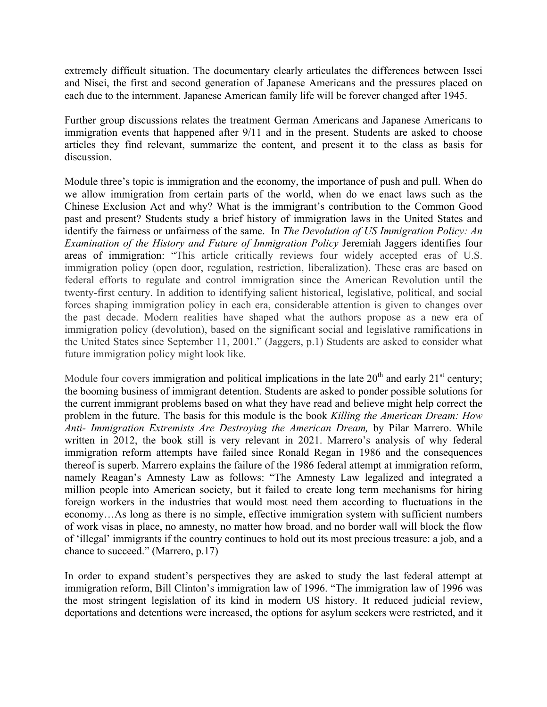extremely difficult situation. The documentary clearly articulates the differences between Issei and Nisei, the first and second generation of Japanese Americans and the pressures placed on each due to the internment. Japanese American family life will be forever changed after 1945.

Further group discussions relates the treatment German Americans and Japanese Americans to immigration events that happened after 9/11 and in the present. Students are asked to choose articles they find relevant, summarize the content, and present it to the class as basis for discussion.

Module three's topic is immigration and the economy, the importance of push and pull. When do we allow immigration from certain parts of the world, when do we enact laws such as the Chinese Exclusion Act and why? What is the immigrant's contribution to the Common Good past and present? Students study a brief history of immigration laws in the United States and identify the fairness or unfairness of the same. In *The Devolution of US Immigration Policy: An Examination of the History and Future of Immigration Policy* Jeremiah Jaggers identifies four areas of immigration: "This article critically reviews four widely accepted eras of U.S. immigration policy (open door, regulation, restriction, liberalization). These eras are based on federal efforts to regulate and control immigration since the American Revolution until the twenty-first century. In addition to identifying salient historical, legislative, political, and social forces shaping immigration policy in each era, considerable attention is given to changes over the past decade. Modern realities have shaped what the authors propose as a new era of immigration policy (devolution), based on the significant social and legislative ramifications in the United States since September 11, 2001." (Jaggers, p.1) Students are asked to consider what future immigration policy might look like.

Module four covers immigration and political implications in the late  $20<sup>th</sup>$  and early  $21<sup>st</sup>$  century; the booming business of immigrant detention. Students are asked to ponder possible solutions for the current immigrant problems based on what they have read and believe might help correct the problem in the future. The basis for this module is the book *Killing the American Dream: How Anti- Immigration Extremists Are Destroying the American Dream,* by Pilar Marrero. While written in 2012, the book still is very relevant in 2021. Marrero's analysis of why federal immigration reform attempts have failed since Ronald Regan in 1986 and the consequences thereof is superb. Marrero explains the failure of the 1986 federal attempt at immigration reform, namely Reagan's Amnesty Law as follows: "The Amnesty Law legalized and integrated a million people into American society, but it failed to create long term mechanisms for hiring foreign workers in the industries that would most need them according to fluctuations in the economy…As long as there is no simple, effective immigration system with sufficient numbers of work visas in place, no amnesty, no matter how broad, and no border wall will block the flow of 'illegal' immigrants if the country continues to hold out its most precious treasure: a job, and a chance to succeed." (Marrero, p.17)

In order to expand student's perspectives they are asked to study the last federal attempt at immigration reform, Bill Clinton's immigration law of 1996. "The immigration law of 1996 was the most stringent legislation of its kind in modern US history. It reduced judicial review, deportations and detentions were increased, the options for asylum seekers were restricted, and it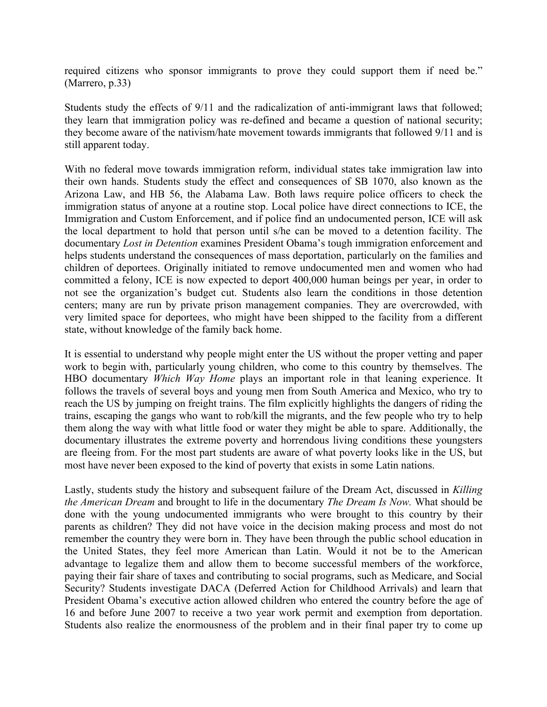required citizens who sponsor immigrants to prove they could support them if need be." (Marrero, p.33)

Students study the effects of 9/11 and the radicalization of anti-immigrant laws that followed; they learn that immigration policy was re-defined and became a question of national security; they become aware of the nativism/hate movement towards immigrants that followed 9/11 and is still apparent today.

With no federal move towards immigration reform, individual states take immigration law into their own hands. Students study the effect and consequences of SB 1070, also known as the Arizona Law, and HB 56, the Alabama Law. Both laws require police officers to check the immigration status of anyone at a routine stop. Local police have direct connections to ICE, the Immigration and Custom Enforcement, and if police find an undocumented person, ICE will ask the local department to hold that person until s/he can be moved to a detention facility. The documentary *Lost in Detention* examines President Obama's tough immigration enforcement and helps students understand the consequences of mass deportation, particularly on the families and children of deportees. Originally initiated to remove undocumented men and women who had committed a felony, ICE is now expected to deport 400,000 human beings per year, in order to not see the organization's budget cut. Students also learn the conditions in those detention centers; many are run by private prison management companies. They are overcrowded, with very limited space for deportees, who might have been shipped to the facility from a different state, without knowledge of the family back home.

It is essential to understand why people might enter the US without the proper vetting and paper work to begin with, particularly young children, who come to this country by themselves. The HBO documentary *Which Way Home* plays an important role in that leaning experience. It follows the travels of several boys and young men from South America and Mexico, who try to reach the US by jumping on freight trains. The film explicitly highlights the dangers of riding the trains, escaping the gangs who want to rob/kill the migrants, and the few people who try to help them along the way with what little food or water they might be able to spare. Additionally, the documentary illustrates the extreme poverty and horrendous living conditions these youngsters are fleeing from. For the most part students are aware of what poverty looks like in the US, but most have never been exposed to the kind of poverty that exists in some Latin nations.

Lastly, students study the history and subsequent failure of the Dream Act, discussed in *Killing the American Dream* and brought to life in the documentary *The Dream Is Now.* What should be done with the young undocumented immigrants who were brought to this country by their parents as children? They did not have voice in the decision making process and most do not remember the country they were born in. They have been through the public school education in the United States, they feel more American than Latin. Would it not be to the American advantage to legalize them and allow them to become successful members of the workforce, paying their fair share of taxes and contributing to social programs, such as Medicare, and Social Security? Students investigate DACA (Deferred Action for Childhood Arrivals) and learn that President Obama's executive action allowed children who entered the country before the age of 16 and before June 2007 to receive a two year work permit and exemption from deportation. Students also realize the enormousness of the problem and in their final paper try to come up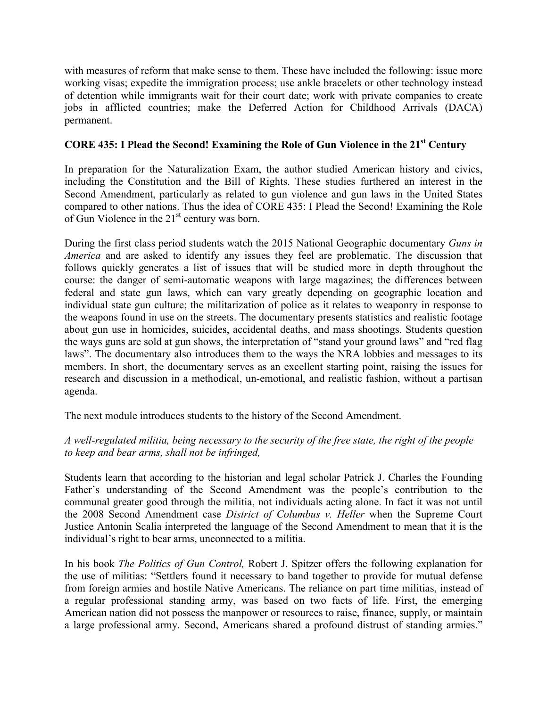with measures of reform that make sense to them. These have included the following: issue more working visas; expedite the immigration process; use ankle bracelets or other technology instead of detention while immigrants wait for their court date; work with private companies to create jobs in afflicted countries; make the Deferred Action for Childhood Arrivals (DACA) permanent.

## **CORE 435: I Plead the Second! Examining the Role of Gun Violence in the 21st Century**

In preparation for the Naturalization Exam, the author studied American history and civics, including the Constitution and the Bill of Rights. These studies furthered an interest in the Second Amendment, particularly as related to gun violence and gun laws in the United States compared to other nations. Thus the idea of CORE 435: I Plead the Second! Examining the Role of Gun Violence in the  $21<sup>st</sup>$  century was born.

During the first class period students watch the 2015 National Geographic documentary *Guns in America* and are asked to identify any issues they feel are problematic. The discussion that follows quickly generates a list of issues that will be studied more in depth throughout the course: the danger of semi-automatic weapons with large magazines; the differences between federal and state gun laws, which can vary greatly depending on geographic location and individual state gun culture; the militarization of police as it relates to weaponry in response to the weapons found in use on the streets. The documentary presents statistics and realistic footage about gun use in homicides, suicides, accidental deaths, and mass shootings. Students question the ways guns are sold at gun shows, the interpretation of "stand your ground laws" and "red flag laws". The documentary also introduces them to the ways the NRA lobbies and messages to its members. In short, the documentary serves as an excellent starting point, raising the issues for research and discussion in a methodical, un-emotional, and realistic fashion, without a partisan agenda.

The next module introduces students to the history of the Second Amendment.

# *A well-regulated militia, being necessary to the security of the free state, the right of the people to keep and bear arms, shall not be infringed,*

Students learn that according to the historian and legal scholar Patrick J. Charles the Founding Father's understanding of the Second Amendment was the people's contribution to the communal greater good through the militia, not individuals acting alone. In fact it was not until the 2008 Second Amendment case *District of Columbus v. Heller* when the Supreme Court Justice Antonin Scalia interpreted the language of the Second Amendment to mean that it is the individual's right to bear arms, unconnected to a militia.

In his book *The Politics of Gun Control,* Robert J. Spitzer offers the following explanation for the use of militias: "Settlers found it necessary to band together to provide for mutual defense from foreign armies and hostile Native Americans. The reliance on part time militias, instead of a regular professional standing army, was based on two facts of life. First, the emerging American nation did not possess the manpower or resources to raise, finance, supply, or maintain a large professional army. Second, Americans shared a profound distrust of standing armies."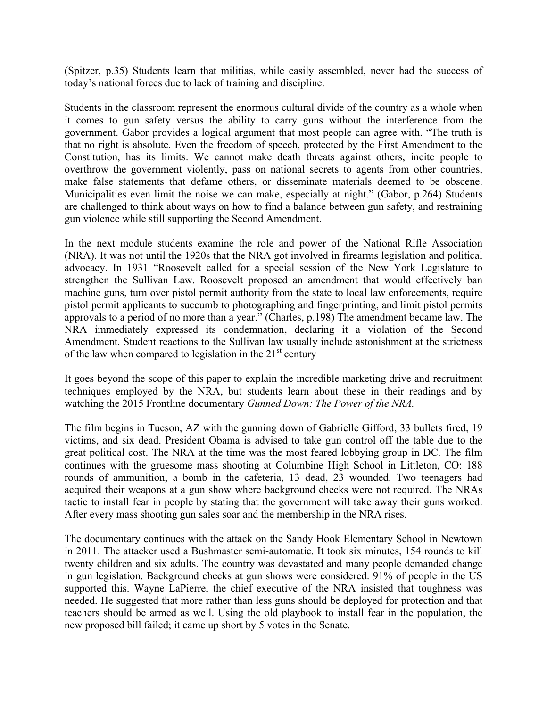(Spitzer, p.35) Students learn that militias, while easily assembled, never had the success of today's national forces due to lack of training and discipline.

Students in the classroom represent the enormous cultural divide of the country as a whole when it comes to gun safety versus the ability to carry guns without the interference from the government. Gabor provides a logical argument that most people can agree with. "The truth is that no right is absolute. Even the freedom of speech, protected by the First Amendment to the Constitution, has its limits. We cannot make death threats against others, incite people to overthrow the government violently, pass on national secrets to agents from other countries, make false statements that defame others, or disseminate materials deemed to be obscene. Municipalities even limit the noise we can make, especially at night." (Gabor, p.264) Students are challenged to think about ways on how to find a balance between gun safety, and restraining gun violence while still supporting the Second Amendment.

In the next module students examine the role and power of the National Rifle Association (NRA). It was not until the 1920s that the NRA got involved in firearms legislation and political advocacy. In 1931 "Roosevelt called for a special session of the New York Legislature to strengthen the Sullivan Law. Roosevelt proposed an amendment that would effectively ban machine guns, turn over pistol permit authority from the state to local law enforcements, require pistol permit applicants to succumb to photographing and fingerprinting, and limit pistol permits approvals to a period of no more than a year." (Charles, p.198) The amendment became law. The NRA immediately expressed its condemnation, declaring it a violation of the Second Amendment. Student reactions to the Sullivan law usually include astonishment at the strictness of the law when compared to legislation in the  $21<sup>st</sup>$  century

It goes beyond the scope of this paper to explain the incredible marketing drive and recruitment techniques employed by the NRA, but students learn about these in their readings and by watching the 2015 Frontline documentary *Gunned Down: The Power of the NRA.*

The film begins in Tucson, AZ with the gunning down of Gabrielle Gifford, 33 bullets fired, 19 victims, and six dead. President Obama is advised to take gun control off the table due to the great political cost. The NRA at the time was the most feared lobbying group in DC. The film continues with the gruesome mass shooting at Columbine High School in Littleton, CO: 188 rounds of ammunition, a bomb in the cafeteria, 13 dead, 23 wounded. Two teenagers had acquired their weapons at a gun show where background checks were not required. The NRAs tactic to install fear in people by stating that the government will take away their guns worked. After every mass shooting gun sales soar and the membership in the NRA rises.

The documentary continues with the attack on the Sandy Hook Elementary School in Newtown in 2011. The attacker used a Bushmaster semi-automatic. It took six minutes, 154 rounds to kill twenty children and six adults. The country was devastated and many people demanded change in gun legislation. Background checks at gun shows were considered. 91% of people in the US supported this. Wayne LaPierre, the chief executive of the NRA insisted that toughness was needed. He suggested that more rather than less guns should be deployed for protection and that teachers should be armed as well. Using the old playbook to install fear in the population, the new proposed bill failed; it came up short by 5 votes in the Senate.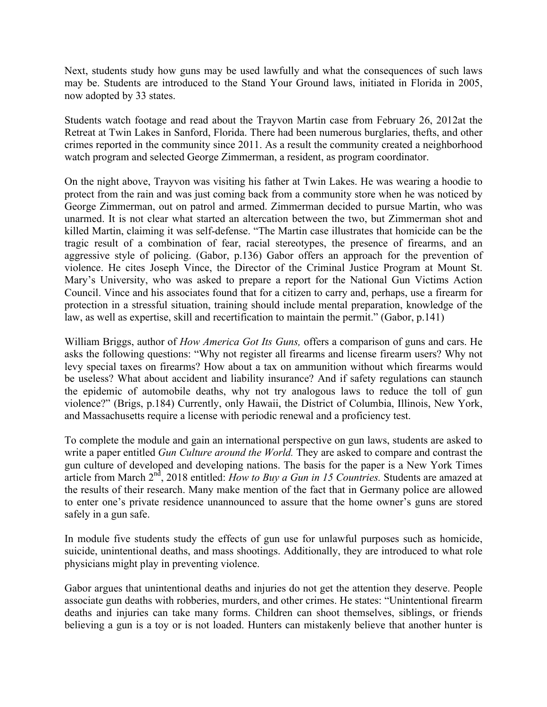Next, students study how guns may be used lawfully and what the consequences of such laws may be. Students are introduced to the Stand Your Ground laws, initiated in Florida in 2005, now adopted by 33 states.

Students watch footage and read about the Trayvon Martin case from February 26, 2012at the Retreat at Twin Lakes in Sanford, Florida. There had been numerous burglaries, thefts, and other crimes reported in the community since 2011. As a result the community created a neighborhood watch program and selected George Zimmerman, a resident, as program coordinator.

On the night above, Trayvon was visiting his father at Twin Lakes. He was wearing a hoodie to protect from the rain and was just coming back from a community store when he was noticed by George Zimmerman, out on patrol and armed. Zimmerman decided to pursue Martin, who was unarmed. It is not clear what started an altercation between the two, but Zimmerman shot and killed Martin, claiming it was self-defense. "The Martin case illustrates that homicide can be the tragic result of a combination of fear, racial stereotypes, the presence of firearms, and an aggressive style of policing. (Gabor, p.136) Gabor offers an approach for the prevention of violence. He cites Joseph Vince, the Director of the Criminal Justice Program at Mount St. Mary's University, who was asked to prepare a report for the National Gun Victims Action Council. Vince and his associates found that for a citizen to carry and, perhaps, use a firearm for protection in a stressful situation, training should include mental preparation, knowledge of the law, as well as expertise, skill and recertification to maintain the permit." (Gabor, p.141)

William Briggs, author of *How America Got Its Guns,* offers a comparison of guns and cars. He asks the following questions: "Why not register all firearms and license firearm users? Why not levy special taxes on firearms? How about a tax on ammunition without which firearms would be useless? What about accident and liability insurance? And if safety regulations can staunch the epidemic of automobile deaths, why not try analogous laws to reduce the toll of gun violence?" (Brigs, p.184) Currently, only Hawaii, the District of Columbia, Illinois, New York, and Massachusetts require a license with periodic renewal and a proficiency test.

To complete the module and gain an international perspective on gun laws, students are asked to write a paper entitled *Gun Culture around the World.* They are asked to compare and contrast the gun culture of developed and developing nations. The basis for the paper is a New York Times article from March 2nd, 2018 entitled: *How to Buy a Gun in 15 Countries.* Students are amazed at the results of their research. Many make mention of the fact that in Germany police are allowed to enter one's private residence unannounced to assure that the home owner's guns are stored safely in a gun safe.

In module five students study the effects of gun use for unlawful purposes such as homicide, suicide, unintentional deaths, and mass shootings. Additionally, they are introduced to what role physicians might play in preventing violence.

Gabor argues that unintentional deaths and injuries do not get the attention they deserve. People associate gun deaths with robberies, murders, and other crimes. He states: "Unintentional firearm deaths and injuries can take many forms. Children can shoot themselves, siblings, or friends believing a gun is a toy or is not loaded. Hunters can mistakenly believe that another hunter is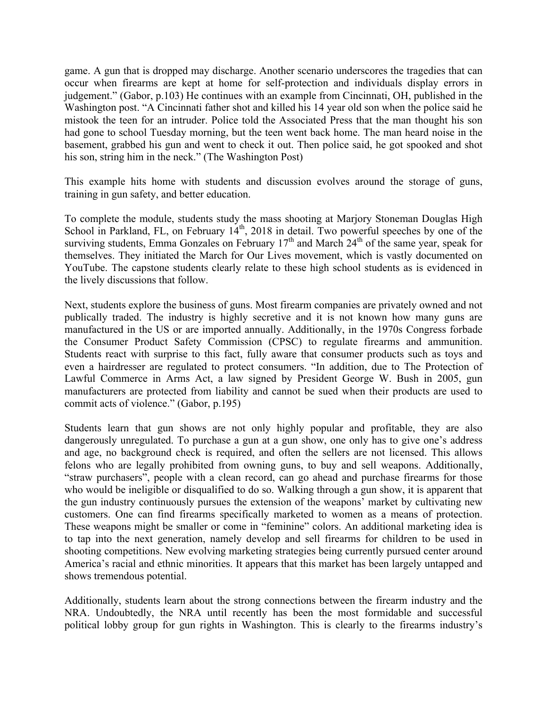game. A gun that is dropped may discharge. Another scenario underscores the tragedies that can occur when firearms are kept at home for self-protection and individuals display errors in judgement." (Gabor, p.103) He continues with an example from Cincinnati, OH, published in the Washington post. "A Cincinnati father shot and killed his 14 year old son when the police said he mistook the teen for an intruder. Police told the Associated Press that the man thought his son had gone to school Tuesday morning, but the teen went back home. The man heard noise in the basement, grabbed his gun and went to check it out. Then police said, he got spooked and shot his son, string him in the neck." (The Washington Post)

This example hits home with students and discussion evolves around the storage of guns, training in gun safety, and better education.

To complete the module, students study the mass shooting at Marjory Stoneman Douglas High School in Parkland, FL, on February 14<sup>th</sup>, 2018 in detail. Two powerful speeches by one of the surviving students, Emma Gonzales on February  $17<sup>th</sup>$  and March  $24<sup>th</sup>$  of the same year, speak for themselves. They initiated the March for Our Lives movement, which is vastly documented on YouTube. The capstone students clearly relate to these high school students as is evidenced in the lively discussions that follow.

Next, students explore the business of guns. Most firearm companies are privately owned and not publically traded. The industry is highly secretive and it is not known how many guns are manufactured in the US or are imported annually. Additionally, in the 1970s Congress forbade the Consumer Product Safety Commission (CPSC) to regulate firearms and ammunition. Students react with surprise to this fact, fully aware that consumer products such as toys and even a hairdresser are regulated to protect consumers. "In addition, due to The Protection of Lawful Commerce in Arms Act, a law signed by President George W. Bush in 2005, gun manufacturers are protected from liability and cannot be sued when their products are used to commit acts of violence." (Gabor, p.195)

Students learn that gun shows are not only highly popular and profitable, they are also dangerously unregulated. To purchase a gun at a gun show, one only has to give one's address and age, no background check is required, and often the sellers are not licensed. This allows felons who are legally prohibited from owning guns, to buy and sell weapons. Additionally, "straw purchasers", people with a clean record, can go ahead and purchase firearms for those who would be ineligible or disqualified to do so. Walking through a gun show, it is apparent that the gun industry continuously pursues the extension of the weapons' market by cultivating new customers. One can find firearms specifically marketed to women as a means of protection. These weapons might be smaller or come in "feminine" colors. An additional marketing idea is to tap into the next generation, namely develop and sell firearms for children to be used in shooting competitions. New evolving marketing strategies being currently pursued center around America's racial and ethnic minorities. It appears that this market has been largely untapped and shows tremendous potential.

Additionally, students learn about the strong connections between the firearm industry and the NRA. Undoubtedly, the NRA until recently has been the most formidable and successful political lobby group for gun rights in Washington. This is clearly to the firearms industry's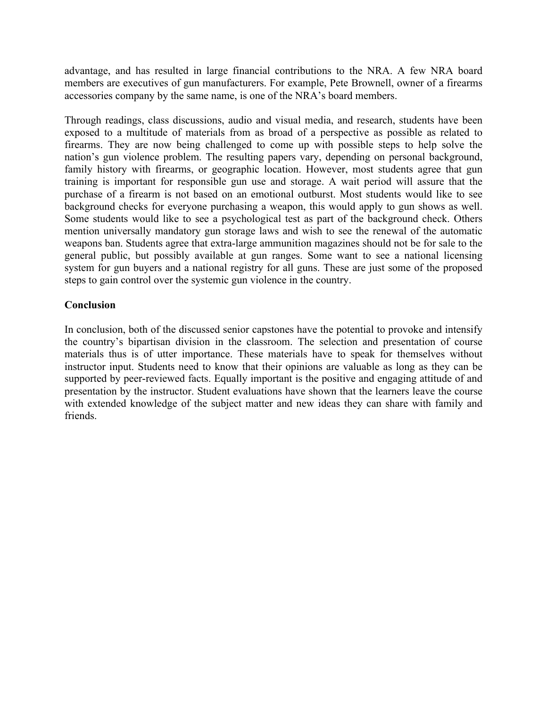advantage, and has resulted in large financial contributions to the NRA. A few NRA board members are executives of gun manufacturers. For example, Pete Brownell, owner of a firearms accessories company by the same name, is one of the NRA's board members.

Through readings, class discussions, audio and visual media, and research, students have been exposed to a multitude of materials from as broad of a perspective as possible as related to firearms. They are now being challenged to come up with possible steps to help solve the nation's gun violence problem. The resulting papers vary, depending on personal background, family history with firearms, or geographic location. However, most students agree that gun training is important for responsible gun use and storage. A wait period will assure that the purchase of a firearm is not based on an emotional outburst. Most students would like to see background checks for everyone purchasing a weapon, this would apply to gun shows as well. Some students would like to see a psychological test as part of the background check. Others mention universally mandatory gun storage laws and wish to see the renewal of the automatic weapons ban. Students agree that extra-large ammunition magazines should not be for sale to the general public, but possibly available at gun ranges. Some want to see a national licensing system for gun buyers and a national registry for all guns. These are just some of the proposed steps to gain control over the systemic gun violence in the country.

## **Conclusion**

In conclusion, both of the discussed senior capstones have the potential to provoke and intensify the country's bipartisan division in the classroom. The selection and presentation of course materials thus is of utter importance. These materials have to speak for themselves without instructor input. Students need to know that their opinions are valuable as long as they can be supported by peer-reviewed facts. Equally important is the positive and engaging attitude of and presentation by the instructor. Student evaluations have shown that the learners leave the course with extended knowledge of the subject matter and new ideas they can share with family and friends.